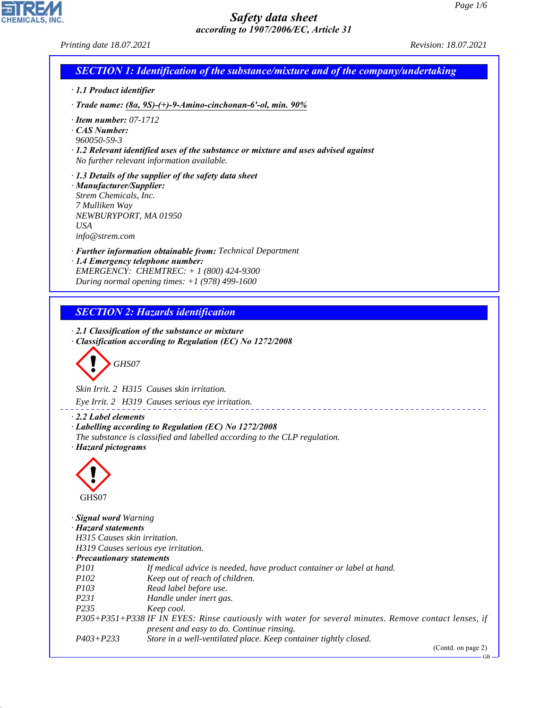CHEMICALS, INC.

44.1.1

*Printing date 18.07.2021 Revision: 18.07.2021 SECTION 1: Identification of the substance/mixture and of the company/undertaking · 1.1 Product identifier · Trade name: (8α, 9S)-(+)-9-Amino-cinchonan-6'-ol, min. 90% · Item number: 07-1712 · CAS Number: 960050-59-3 · 1.2 Relevant identified uses of the substance or mixture and uses advised against No further relevant information available. · 1.3 Details of the supplier of the safety data sheet · Manufacturer/Supplier: Strem Chemicals, Inc. 7 Mulliken Way NEWBURYPORT, MA 01950 USA info@strem.com · Further information obtainable from: Technical Department · 1.4 Emergency telephone number: EMERGENCY: CHEMTREC: + 1 (800) 424-9300 During normal opening times: +1 (978) 499-1600 SECTION 2: Hazards identification · 2.1 Classification of the substance or mixture · Classification according to Regulation (EC) No 1272/2008* d~*GHS07 Skin Irrit. 2 H315 Causes skin irritation. Eye Irrit. 2 H319 Causes serious eye irritation. · 2.2 Label elements · Labelling according to Regulation (EC) No 1272/2008 The substance is classified and labelled according to the CLP regulation. · Hazard pictograms* d~ GHS07 *· Signal word Warning · Hazard statements H315 Causes skin irritation. H319 Causes serious eye irritation. · Precautionary statements P101 If medical advice is needed, have product container or label at hand. P102 Keep out of reach of children. P103 Read label before use. P231 Handle under inert gas. P235 Keep cool. P305+P351+P338 IF IN EYES: Rinse cautiously with water for several minutes. Remove contact lenses, if present and easy to do. Continue rinsing. P403+P233 Store in a well-ventilated place. Keep container tightly closed.*

(Contd. on page 2)

GB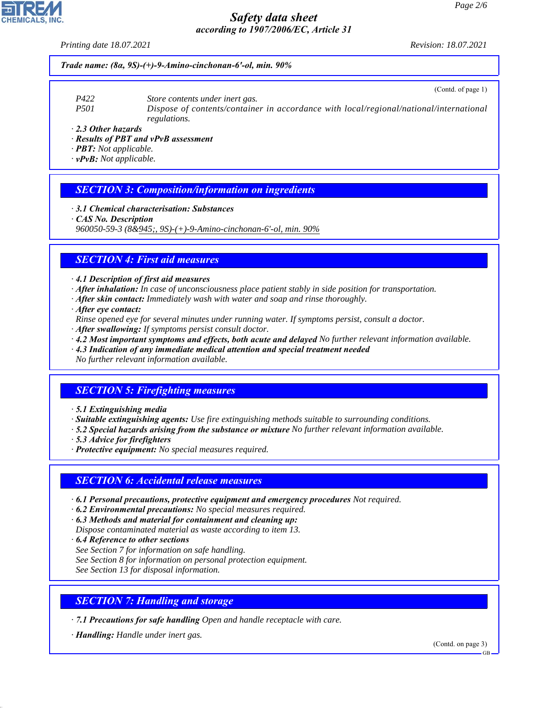*Printing date 18.07.2021 Revision: 18.07.2021*

#### *Trade name: (8α, 9S)-(+)-9-Amino-cinchonan-6'-ol, min. 90%*

- *P422 Store contents under inert gas.*
	- *P501 Dispose of contents/container in accordance with local/regional/national/international regulations.*

*· 2.3 Other hazards*

- *· Results of PBT and vPvB assessment*
- *· PBT: Not applicable.*
- *· vPvB: Not applicable.*

#### *SECTION 3: Composition/information on ingredients*

*· 3.1 Chemical characterisation: Substances*

```
· CAS No. Description
```
*960050-59-3 (8&945;, 9S)-(+)-9-Amino-cinchonan-6'-ol, min. 90%*

## *SECTION 4: First aid measures*

*· 4.1 Description of first aid measures*

- *· After inhalation: In case of unconsciousness place patient stably in side position for transportation.*
- *· After skin contact: Immediately wash with water and soap and rinse thoroughly.*
- *· After eye contact:*
- *Rinse opened eye for several minutes under running water. If symptoms persist, consult a doctor.*
- *· After swallowing: If symptoms persist consult doctor.*
- *· 4.2 Most important symptoms and effects, both acute and delayed No further relevant information available.*
- *· 4.3 Indication of any immediate medical attention and special treatment needed*

*No further relevant information available.*

## *SECTION 5: Firefighting measures*

- *· 5.1 Extinguishing media*
- *· Suitable extinguishing agents: Use fire extinguishing methods suitable to surrounding conditions.*
- *· 5.2 Special hazards arising from the substance or mixture No further relevant information available.*
- *· 5.3 Advice for firefighters*
- *· Protective equipment: No special measures required.*

#### *SECTION 6: Accidental release measures*

- *· 6.1 Personal precautions, protective equipment and emergency procedures Not required.*
- *· 6.2 Environmental precautions: No special measures required.*
- *· 6.3 Methods and material for containment and cleaning up:*
- *Dispose contaminated material as waste according to item 13.*
- *· 6.4 Reference to other sections*
- *See Section 7 for information on safe handling.*
- *See Section 8 for information on personal protection equipment.*
- *See Section 13 for disposal information.*

## *SECTION 7: Handling and storage*

*· 7.1 Precautions for safe handling Open and handle receptacle with care.*

*· Handling: Handle under inert gas.*

44.1.1

(Contd. on page 3)



GB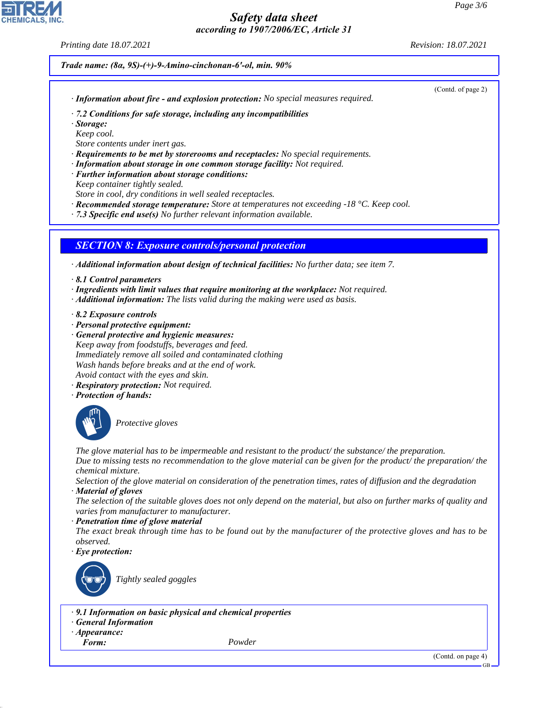

(Contd. of page 2)

*Trade name: (8α, 9S)-(+)-9-Amino-cinchonan-6'-ol, min. 90%*

*· Information about fire - and explosion protection: No special measures required.*

*· 7.2 Conditions for safe storage, including any incompatibilities*

*· Storage:*

*Keep cool.*

*Store contents under inert gas.*

*· Requirements to be met by storerooms and receptacles: No special requirements.*

*· Information about storage in one common storage facility: Not required.*

*· Further information about storage conditions:*

*Keep container tightly sealed.*

*Store in cool, dry conditions in well sealed receptacles.*

*· Recommended storage temperature: Store at temperatures not exceeding -18 °C. Keep cool.*

*· 7.3 Specific end use(s) No further relevant information available.*

## *SECTION 8: Exposure controls/personal protection*

*· Additional information about design of technical facilities: No further data; see item 7.*

- *· 8.1 Control parameters*
- *· Ingredients with limit values that require monitoring at the workplace: Not required.*
- *· Additional information: The lists valid during the making were used as basis.*
- *· 8.2 Exposure controls*
- *· Personal protective equipment:*
- *· General protective and hygienic measures: Keep away from foodstuffs, beverages and feed. Immediately remove all soiled and contaminated clothing Wash hands before breaks and at the end of work. Avoid contact with the eyes and skin.*
- *· Respiratory protection: Not required.*
- *· Protection of hands:*



\_S*Protective gloves*

*The glove material has to be impermeable and resistant to the product/ the substance/ the preparation.*

*Due to missing tests no recommendation to the glove material can be given for the product/ the preparation/ the chemical mixture.*

*Selection of the glove material on consideration of the penetration times, rates of diffusion and the degradation*

*· Material of gloves*

*The selection of the suitable gloves does not only depend on the material, but also on further marks of quality and varies from manufacturer to manufacturer.*

*· Penetration time of glove material*

*The exact break through time has to be found out by the manufacturer of the protective gloves and has to be observed.*

*· Eye protection:*



\_R*Tightly sealed goggles*

*· 9.1 Information on basic physical and chemical properties*

- *· General Information*
- *· Appearance:*

44.1.1

*Form: Powder*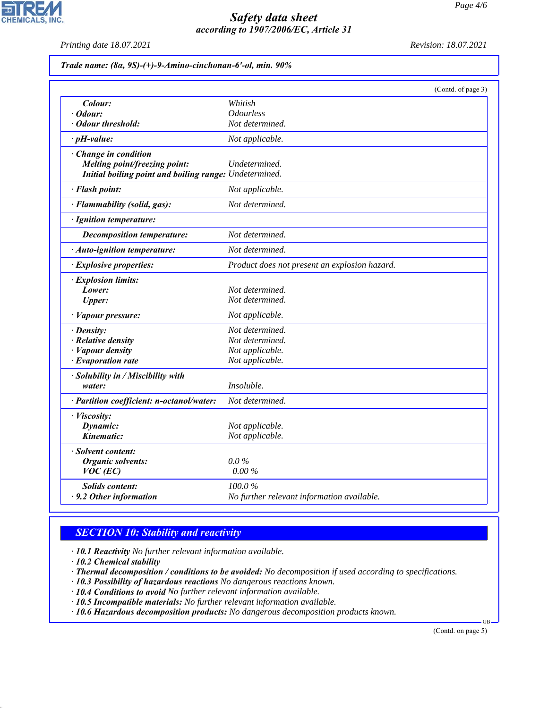*Printing date 18.07.2021 Revision: 18.07.2021*

 $\overline{\phantom{a}}$ 

**CHEMICALS, INC.** 

| Trade name: $(8a, 9S)$ - $(+)$ -9-Amino-cinchonan-6'-ol, min. 90% |  |  |  |  |  |  |  |
|-------------------------------------------------------------------|--|--|--|--|--|--|--|
|-------------------------------------------------------------------|--|--|--|--|--|--|--|

|                                                                                         | (Contd. of page 3)                            |  |
|-----------------------------------------------------------------------------------------|-----------------------------------------------|--|
| Colour:                                                                                 | Whitish                                       |  |
| · Odour:                                                                                | <b>Odourless</b>                              |  |
| · Odour threshold:                                                                      | Not determined.                               |  |
| $\cdot$ pH-value:                                                                       | Not applicable.                               |  |
| Change in condition                                                                     |                                               |  |
| Melting point/freezing point:<br>Initial boiling point and boiling range: Undetermined. | Undetermined.                                 |  |
|                                                                                         |                                               |  |
| · Flash point:                                                                          | Not applicable.                               |  |
| · Flammability (solid, gas):                                                            | Not determined.                               |  |
| · Ignition temperature:                                                                 |                                               |  |
| <b>Decomposition temperature:</b>                                                       | Not determined.                               |  |
| · Auto-ignition temperature:                                                            | Not determined.                               |  |
| · Explosive properties:                                                                 | Product does not present an explosion hazard. |  |
| · Explosion limits:                                                                     |                                               |  |
| Lower:                                                                                  | Not determined.                               |  |
| <b>Upper:</b>                                                                           | Not determined.                               |  |
| · Vapour pressure:                                                                      | Not applicable.                               |  |
| · Density:                                                                              | Not determined.                               |  |
| · Relative density                                                                      | Not determined.                               |  |
| · Vapour density                                                                        | Not applicable.                               |  |
| · Evaporation rate                                                                      | Not applicable.                               |  |
| · Solubility in / Miscibility with                                                      |                                               |  |
| water:                                                                                  | Insoluble.                                    |  |
| · Partition coefficient: n-octanol/water:                                               | Not determined.                               |  |
| · Viscosity:                                                                            |                                               |  |
| Dynamic:                                                                                | Not applicable.                               |  |
| Kinematic:                                                                              | Not applicable.                               |  |
| · Solvent content:                                                                      |                                               |  |
| <b>Organic solvents:</b>                                                                | $0.0\%$                                       |  |
| $VOC$ (EC)                                                                              | 0.00%                                         |  |
| <b>Solids content:</b>                                                                  | 100.0%                                        |  |
| . 9.2 Other information                                                                 | No further relevant information available.    |  |

## *SECTION 10: Stability and reactivity*

*· 10.1 Reactivity No further relevant information available.*

*· 10.2 Chemical stability*

44.1.1

*· Thermal decomposition / conditions to be avoided: No decomposition if used according to specifications.*

*· 10.3 Possibility of hazardous reactions No dangerous reactions known.*

*· 10.4 Conditions to avoid No further relevant information available.*

*· 10.5 Incompatible materials: No further relevant information available.*

*· 10.6 Hazardous decomposition products: No dangerous decomposition products known.*

(Contd. on page 5)

GB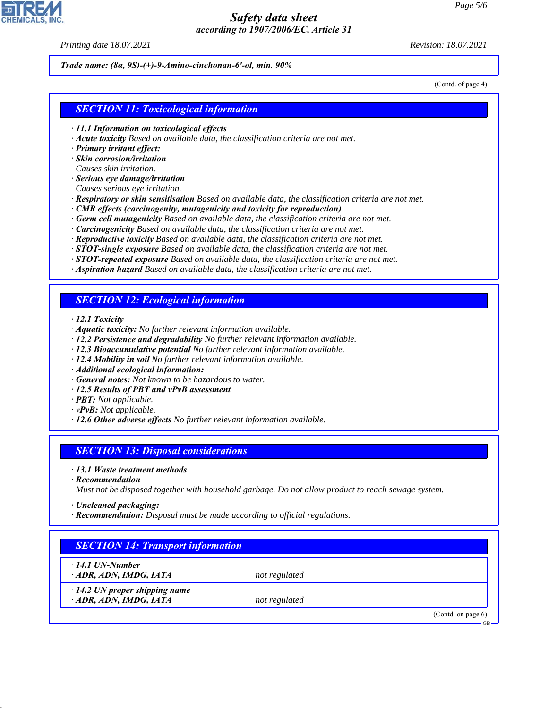*Printing date 18.07.2021 Revision: 18.07.2021*

#### *Trade name: (8α, 9S)-(+)-9-Amino-cinchonan-6'-ol, min. 90%*

(Contd. of page 4)

#### *SECTION 11: Toxicological information*

- *· 11.1 Information on toxicological effects*
- *· Acute toxicity Based on available data, the classification criteria are not met.*
- *· Primary irritant effect:*
- *· Skin corrosion/irritation*
- *Causes skin irritation.*
- *· Serious eye damage/irritation*
- *Causes serious eye irritation.*
- *· Respiratory or skin sensitisation Based on available data, the classification criteria are not met.*
- *· CMR effects (carcinogenity, mutagenicity and toxicity for reproduction)*
- *· Germ cell mutagenicity Based on available data, the classification criteria are not met.*
- *· Carcinogenicity Based on available data, the classification criteria are not met.*
- *· Reproductive toxicity Based on available data, the classification criteria are not met.*
- *· STOT-single exposure Based on available data, the classification criteria are not met.*
- *· STOT-repeated exposure Based on available data, the classification criteria are not met.*
- *· Aspiration hazard Based on available data, the classification criteria are not met.*

#### *SECTION 12: Ecological information*

- *· 12.1 Toxicity*
- *· Aquatic toxicity: No further relevant information available.*
- *· 12.2 Persistence and degradability No further relevant information available.*
- *· 12.3 Bioaccumulative potential No further relevant information available.*
- *· 12.4 Mobility in soil No further relevant information available.*
- *· Additional ecological information:*
- *· General notes: Not known to be hazardous to water.*
- *· 12.5 Results of PBT and vPvB assessment*
- *· PBT: Not applicable.*
- *· vPvB: Not applicable.*
- *· 12.6 Other adverse effects No further relevant information available.*

#### *SECTION 13: Disposal considerations*

- *· 13.1 Waste treatment methods*
- *· Recommendation*

*Must not be disposed together with household garbage. Do not allow product to reach sewage system.*

- *· Uncleaned packaging:*
- *· Recommendation: Disposal must be made according to official regulations.*

## *SECTION 14: Transport information*

*· 14.1 UN-Number*

44.1.1

*· ADR, ADN, IMDG, IATA not regulated*

*· 14.2 UN proper shipping name · ADR, ADN, IMDG, IATA not regulated*

(Contd. on page 6)

GB